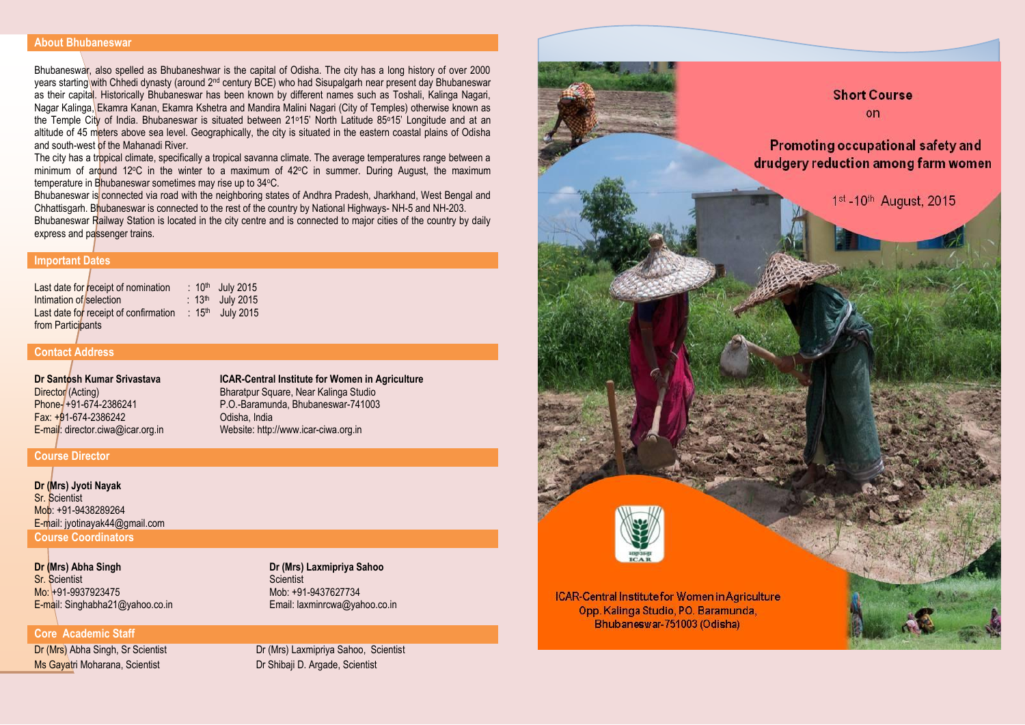#### **About Bhubaneswar**

Bhubaneswar, also spelled as Bhubaneshwar is the capital of Odisha. The city has a long history of over 2000 years starting with Chhedi dynasty (around 2nd century BCE) who had Sisupalgarh near present day Bhubaneswar as their capital. Historically Bhubaneswar has been known by different names such as Toshali, Kalinga Nagari, Nagar Kalinga, Ekamra Kanan, Ekamra Kshetra and Mandira Malini Nagari (City of Temples) otherwise known as the Temple City of India. Bhubaneswar is situated between 21<sup>o</sup>15' North Latitude 85<sup>o</sup>15' Longitude and at an altitude of 45 meters above sea level. Geographically, the city is situated in the eastern coastal plains of Odisha and south-west of the Mahanadi River.

The city has a tropical climate, specifically a tropical savanna climate. The average temperatures range between a minimum of around 12°C in the winter to a maximum of 42°C in summer. During August, the maximum temperature in Bhubaneswar sometimes may rise up to 34°C.

Bhubaneswar is connected via road with the neighboring states of Andhra Pradesh, Jharkhand, West Bengal and Chhattisgarh. Bhubaneswar is connected to the rest of the country by National Highways- NH-5 and NH-203. Bhubaneswar Railway Station is located in the city centre and is connected to major cities of the country by daily express and passenger trains.

## **Important Dates**

Last date for receipt of nomination : 10<sup>th</sup> July 2015 Intimation of selection  $: 13<sup>th</sup>$  July 2015 Last date for receipt of confirmation : 15<sup>th</sup> July 2015 from Particinants

### **Contact Address**

**Dr Santosh Kumar Srivastava** Director (Acting) Phone- +91-674-2386241 Fax: +91-674-2386242 E-mail: director.ciwa@icar.org.in **ICAR-Central Institute for Women in Agriculture** Bharatpur Square, Near Kalinga Studio P.O.-Baramunda, Bhubaneswar-741003 Odisha, India Website: http://www.icar-ciwa.org.in

## **Course Director**

**Dr (Mrs) Jyoti Nayak** Sr. Scientist Mob: +91-9438289264 E-mail: jyotinayak44@gmail.com **Course Coordinators**

**Dr (Mrs) Abha Singh** Sr. Scientist Mo: +91-9937923475 E-mail: Singhabha21@yahoo.co.in

# **Core Academic Staff**

Ms Gayatri Moharana, Scientist Dr Shibaji D. Argade, Scientist

**Dr (Mrs) Laxmipriya Sahoo Scientist** Mob: +91-9437627734 Email: laxminrcwa@yahoo.co.in

Dr (Mrs) Abha Singh, Sr Scientist Dr (Mrs) Laxmipriya Sahoo, Scientist